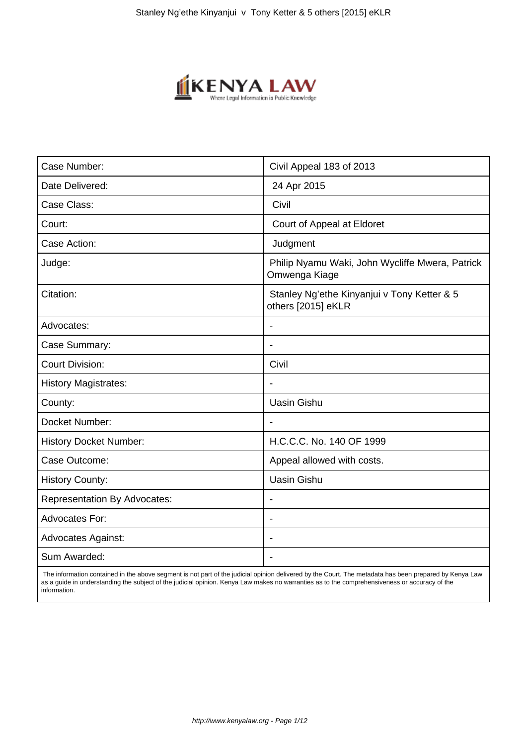

| Case Number:                        | Civil Appeal 183 of 2013                                          |
|-------------------------------------|-------------------------------------------------------------------|
| Date Delivered:                     | 24 Apr 2015                                                       |
| Case Class:                         | Civil                                                             |
| Court:                              | Court of Appeal at Eldoret                                        |
| Case Action:                        | Judgment                                                          |
| Judge:                              | Philip Nyamu Waki, John Wycliffe Mwera, Patrick<br>Omwenga Kiage  |
| Citation:                           | Stanley Ng'ethe Kinyanjui v Tony Ketter & 5<br>others [2015] eKLR |
| Advocates:                          |                                                                   |
| Case Summary:                       | $\blacksquare$                                                    |
| <b>Court Division:</b>              | Civil                                                             |
| <b>History Magistrates:</b>         |                                                                   |
| County:                             | <b>Uasin Gishu</b>                                                |
| Docket Number:                      | $\blacksquare$                                                    |
| <b>History Docket Number:</b>       | H.C.C.C. No. 140 OF 1999                                          |
| Case Outcome:                       | Appeal allowed with costs.                                        |
| <b>History County:</b>              | <b>Uasin Gishu</b>                                                |
| <b>Representation By Advocates:</b> | $\overline{\phantom{a}}$                                          |
| Advocates For:                      |                                                                   |
| <b>Advocates Against:</b>           |                                                                   |
| Sum Awarded:                        |                                                                   |
|                                     |                                                                   |

 The information contained in the above segment is not part of the judicial opinion delivered by the Court. The metadata has been prepared by Kenya Law as a guide in understanding the subject of the judicial opinion. Kenya Law makes no warranties as to the comprehensiveness or accuracy of the information.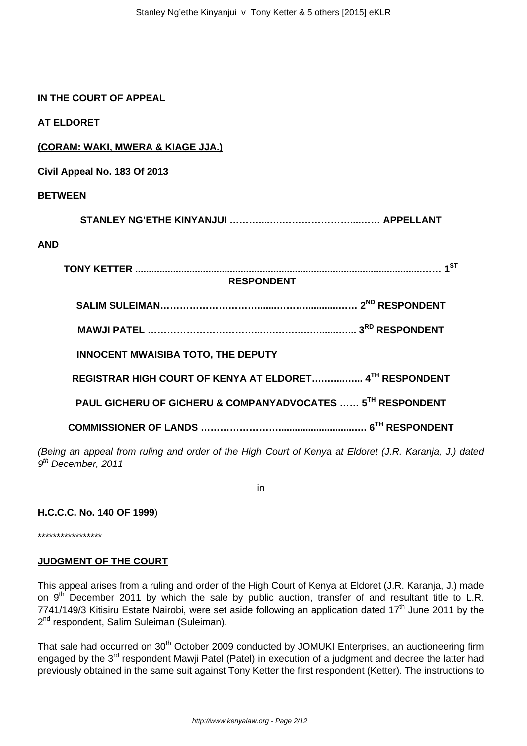### **IN THE COURT OF APPEAL**

**AT ELDORET**

# **(CORAM: WAKI, MWERA & KIAGE JJA.)**

**Civil Appeal No. 183 Of 2013**

### **BETWEEN**

**STANLEY NG'ETHE KINYANJUI ………....….…………………....…… APPELLANT**

#### **AND**

| <b>RESPONDENT</b>                                                                             |  |
|-----------------------------------------------------------------------------------------------|--|
|                                                                                               |  |
|                                                                                               |  |
| <b>INNOCENT MWAISIBA TOTO, THE DEPUTY</b>                                                     |  |
| REGISTRAR HIGH COURT OF KENYA AT ELDORET 4TH RESPONDENT                                       |  |
| PAUL GICHERU OF GICHERU & COMPANYADVOCATES  5 <sup>TH</sup> RESPONDENT                        |  |
|                                                                                               |  |
| ig an appeal from ruling and order of the High Court of Kenva at Eldoret (J.R. Karania. J.) q |  |

(Being an appeal from ruling and order of the High Court of Kenya at Eldoret (J.R. Karanja, J.) dated 9<sup>th</sup> December, 2011

in

#### **H.C.C.C. No. 140 OF 1999**)

\*\*\*\*\*\*\*\*\*\*\*\*\*\*\*\*\*

#### **JUDGMENT OF THE COURT**

This appeal arises from a ruling and order of the High Court of Kenya at Eldoret (J.R. Karanja, J.) made on 9<sup>th</sup> December 2011 by which the sale by public auction, transfer of and resultant title to L.R. 7741/149/3 Kitisiru Estate Nairobi, were set aside following an application dated 17<sup>th</sup> June 2011 by the 2<sup>nd</sup> respondent, Salim Suleiman (Suleiman).

That sale had occurred on 30<sup>th</sup> October 2009 conducted by JOMUKI Enterprises, an auctioneering firm engaged by the 3<sup>rd</sup> respondent Mawji Patel (Patel) in execution of a judgment and decree the latter had previously obtained in the same suit against Tony Ketter the first respondent (Ketter). The instructions to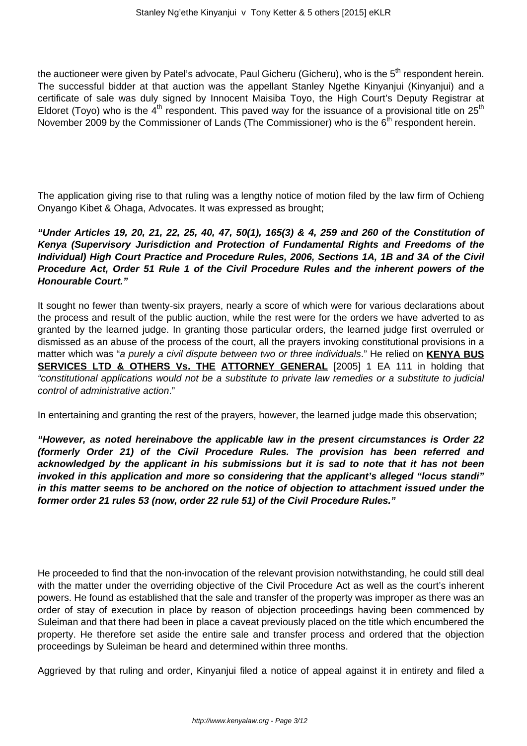the auctioneer were given by Patel's advocate. Paul Gicheru (Gicheru), who is the 5<sup>th</sup> respondent herein. The successful bidder at that auction was the appellant Stanley Ngethe Kinyanjui (Kinyanjui) and a certificate of sale was duly signed by Innocent Maisiba Toyo, the High Court's Deputy Registrar at Eldoret (Toyo) who is the  $4<sup>th</sup>$  respondent. This paved way for the issuance of a provisional title on  $25<sup>th</sup>$ November 2009 by the Commissioner of Lands (The Commissioner) who is the 6<sup>th</sup> respondent herein.

The application giving rise to that ruling was a lengthy notice of motion filed by the law firm of Ochieng Onyango Kibet & Ohaga, Advocates. It was expressed as brought;

**"Under Articles 19, 20, 21, 22, 25, 40, 47, 50(1), 165(3) & 4, 259 and 260 of the Constitution of Kenya (Supervisory Jurisdiction and Protection of Fundamental Rights and Freedoms of the Individual) High Court Practice and Procedure Rules, 2006, Sections 1A, 1B and 3A of the Civil Procedure Act, Order 51 Rule 1 of the Civil Procedure Rules and the inherent powers of the Honourable Court."**

It sought no fewer than twenty-six prayers, nearly a score of which were for various declarations about the process and result of the public auction, while the rest were for the orders we have adverted to as granted by the learned judge. In granting those particular orders, the learned judge first overruled or dismissed as an abuse of the process of the court, all the prayers invoking constitutional provisions in a matter which was "a purely a civil dispute between two or three individuals." He relied on **KENYA BUS SERVICES LTD & OTHERS Vs. THE ATTORNEY GENERAL** [2005] 1 EA 111 in holding that "constitutional applications would not be a substitute to private law remedies or a substitute to judicial control of administrative action."

In entertaining and granting the rest of the prayers, however, the learned judge made this observation;

**"However, as noted hereinabove the applicable law in the present circumstances is Order 22 (formerly Order 21) of the Civil Procedure Rules. The provision has been referred and acknowledged by the applicant in his submissions but it is sad to note that it has not been invoked in this application and more so considering that the applicant's alleged "locus standi" in this matter seems to be anchored on the notice of objection to attachment issued under the former order 21 rules 53 (now, order 22 rule 51) of the Civil Procedure Rules."**

He proceeded to find that the non-invocation of the relevant provision notwithstanding, he could still deal with the matter under the overriding objective of the Civil Procedure Act as well as the court's inherent powers. He found as established that the sale and transfer of the property was improper as there was an order of stay of execution in place by reason of objection proceedings having been commenced by Suleiman and that there had been in place a caveat previously placed on the title which encumbered the property. He therefore set aside the entire sale and transfer process and ordered that the objection proceedings by Suleiman be heard and determined within three months.

Aggrieved by that ruling and order, Kinyanjui filed a notice of appeal against it in entirety and filed a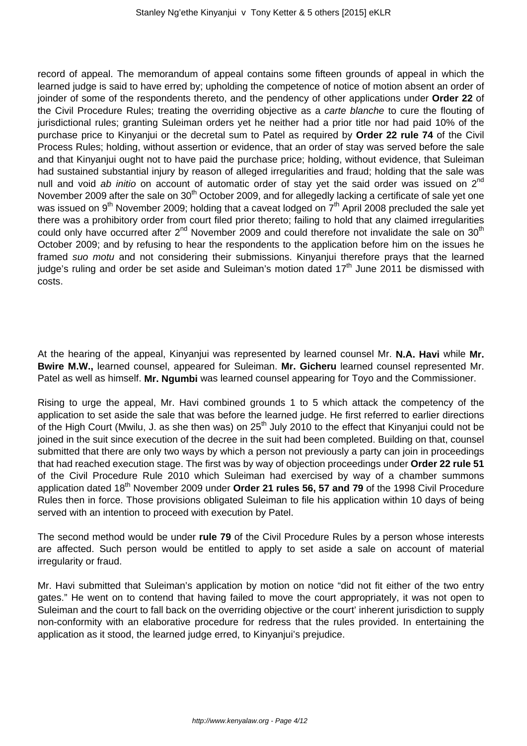record of appeal. The memorandum of appeal contains some fifteen grounds of appeal in which the learned judge is said to have erred by; upholding the competence of notice of motion absent an order of joinder of some of the respondents thereto, and the pendency of other applications under **Order 22** of the Civil Procedure Rules; treating the overriding objective as a carte blanche to cure the flouting of jurisdictional rules; granting Suleiman orders yet he neither had a prior title nor had paid 10% of the purchase price to Kinyanjui or the decretal sum to Patel as required by **Order 22 rule 74** of the Civil Process Rules; holding, without assertion or evidence, that an order of stay was served before the sale and that Kinyanjui ought not to have paid the purchase price; holding, without evidence, that Suleiman had sustained substantial injury by reason of alleged irregularities and fraud; holding that the sale was null and void ab initio on account of automatic order of stay yet the said order was issued on 2<sup>nd</sup> November 2009 after the sale on 30<sup>th</sup> October 2009, and for allegedly lacking a certificate of sale yet one was issued on 9<sup>th</sup> November 2009; holding that a caveat lodged on 7<sup>th</sup> April 2008 precluded the sale yet there was a prohibitory order from court filed prior thereto; failing to hold that any claimed irregularities could only have occurred after  $2^{nd}$  November 2009 and could therefore not invalidate the sale on 30<sup>th</sup> October 2009; and by refusing to hear the respondents to the application before him on the issues he framed suo motu and not considering their submissions. Kinyanjui therefore prays that the learned judge's ruling and order be set aside and Suleiman's motion dated  $17<sup>th</sup>$  June 2011 be dismissed with costs.

At the hearing of the appeal, Kinyanjui was represented by learned counsel Mr. **N.A. Havi** while **Mr. Bwire M.W.,** learned counsel, appeared for Suleiman. **Mr. Gicheru** learned counsel represented Mr. Patel as well as himself. **Mr. Ngumbi** was learned counsel appearing for Toyo and the Commissioner.

Rising to urge the appeal, Mr. Havi combined grounds 1 to 5 which attack the competency of the application to set aside the sale that was before the learned judge. He first referred to earlier directions of the High Court (Mwilu, J. as she then was) on 25<sup>th</sup> July 2010 to the effect that Kinyanjui could not be joined in the suit since execution of the decree in the suit had been completed. Building on that, counsel submitted that there are only two ways by which a person not previously a party can join in proceedings that had reached execution stage. The first was by way of objection proceedings under **Order 22 rule 51** of the Civil Procedure Rule 2010 which Suleiman had exercised by way of a chamber summons application dated 18<sup>th</sup> November 2009 under Order 21 rules 56, 57 and 79 of the 1998 Civil Procedure Rules then in force. Those provisions obligated Suleiman to file his application within 10 days of being served with an intention to proceed with execution by Patel.

The second method would be under **rule 79** of the Civil Procedure Rules by a person whose interests are affected. Such person would be entitled to apply to set aside a sale on account of material irregularity or fraud.

Mr. Havi submitted that Suleiman's application by motion on notice "did not fit either of the two entry gates." He went on to contend that having failed to move the court appropriately, it was not open to Suleiman and the court to fall back on the overriding objective or the court' inherent jurisdiction to supply non-conformity with an elaborative procedure for redress that the rules provided. In entertaining the application as it stood, the learned judge erred, to Kinyanjui's prejudice.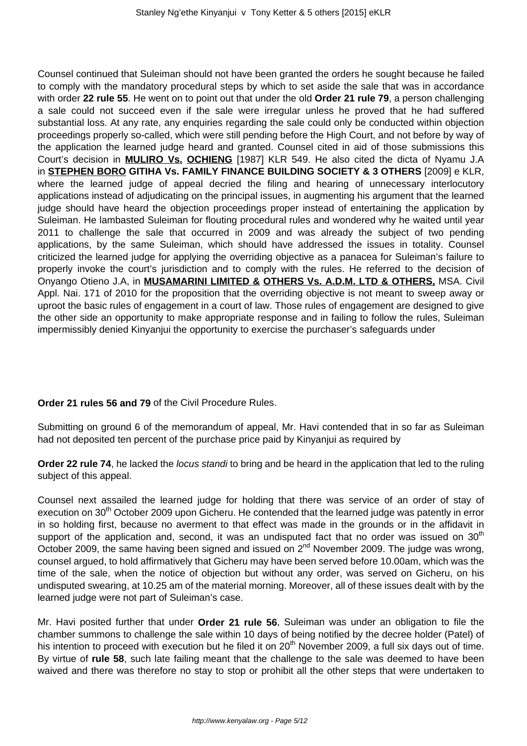Counsel continued that Suleiman should not have been granted the orders he sought because he failed to comply with the mandatory procedural steps by which to set aside the sale that was in accordance with order **22 rule 55**. He went on to point out that under the old **Order 21 rule 79**, a person challenging a sale could not succeed even if the sale were irregular unless he proved that he had suffered substantial loss. At any rate, any enquiries regarding the sale could only be conducted within objection proceedings properly so-called, which were still pending before the High Court, and not before by way of the application the learned judge heard and granted. Counsel cited in aid of those submissions this Court's decision in **MULIRO Vs. OCHIENG** [1987] KLR 549. He also cited the dicta of Nyamu J.A in **STEPHEN BORO GITIHA Vs. FAMILY FINANCE BUILDING SOCIETY & 3 OTHERS** [2009] e KLR, where the learned judge of appeal decried the filing and hearing of unnecessary interlocutory applications instead of adjudicating on the principal issues, in augmenting his argument that the learned judge should have heard the objection proceedings proper instead of entertaining the application by Suleiman. He lambasted Suleiman for flouting procedural rules and wondered why he waited until year 2011 to challenge the sale that occurred in 2009 and was already the subject of two pending applications, by the same Suleiman, which should have addressed the issues in totality. Counsel criticized the learned judge for applying the overriding objective as a panacea for Suleiman's failure to properly invoke the court's jurisdiction and to comply with the rules. He referred to the decision of Onyango Otieno J.A, in **MUSAMARINI LIMITED & OTHERS Vs. A.D.M. LTD & OTHERS,** MSA. Civil Appl. Nai. 171 of 2010 for the proposition that the overriding objective is not meant to sweep away or uproot the basic rules of engagement in a court of law. Those rules of engagement are designed to give the other side an opportunity to make appropriate response and in failing to follow the rules, Suleiman impermissibly denied Kinyanjui the opportunity to exercise the purchaser's safeguards under

**Order 21 rules 56 and 79** of the Civil Procedure Rules.

Submitting on ground 6 of the memorandum of appeal, Mr. Havi contended that in so far as Suleiman had not deposited ten percent of the purchase price paid by Kinyanjui as required by

**Order 22 rule 74**, he lacked the *locus standi* to bring and be heard in the application that led to the ruling subject of this appeal.

Counsel next assailed the learned judge for holding that there was service of an order of stay of execution on 30<sup>th</sup> October 2009 upon Gicheru. He contended that the learned judge was patently in error in so holding first, because no averment to that effect was made in the grounds or in the affidavit in support of the application and, second, it was an undisputed fact that no order was issued on  $30<sup>th</sup>$ October 2009, the same having been signed and issued on 2<sup>nd</sup> November 2009. The judge was wrong, counsel argued, to hold affirmatively that Gicheru may have been served before 10.00am, which was the time of the sale, when the notice of objection but without any order, was served on Gicheru, on his undisputed swearing, at 10.25 am of the material morning. Moreover, all of these issues dealt with by the learned judge were not part of Suleiman's case.

Mr. Havi posited further that under **Order 21 rule 56**, Suleiman was under an obligation to file the chamber summons to challenge the sale within 10 days of being notified by the decree holder (Patel) of his intention to proceed with execution but he filed it on 20<sup>th</sup> November 2009, a full six days out of time. By virtue of **rule 58**, such late failing meant that the challenge to the sale was deemed to have been waived and there was therefore no stay to stop or prohibit all the other steps that were undertaken to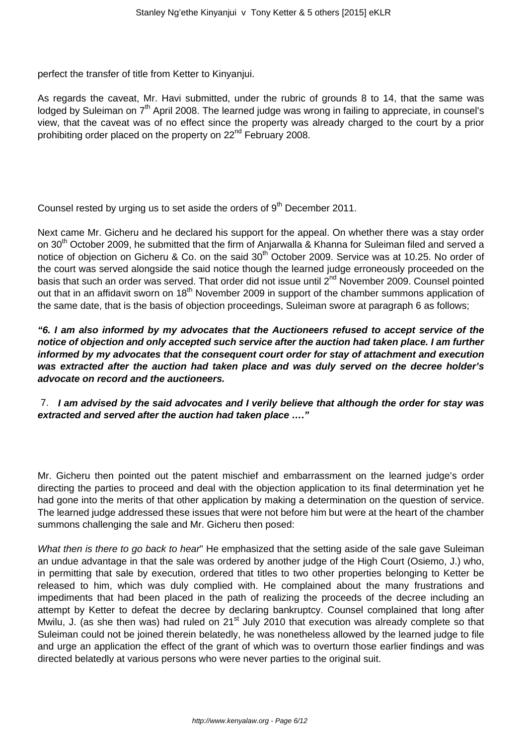perfect the transfer of title from Ketter to Kinyanjui.

As regards the caveat, Mr. Havi submitted, under the rubric of grounds 8 to 14, that the same was lodged by Suleiman on  $7<sup>th</sup>$  April 2008. The learned judge was wrong in failing to appreciate, in counsel's view, that the caveat was of no effect since the property was already charged to the court by a prior prohibiting order placed on the property on 22<sup>nd</sup> February 2008.

Counsel rested by urging us to set aside the orders of  $9<sup>th</sup>$  December 2011.

Next came Mr. Gicheru and he declared his support for the appeal. On whether there was a stay order on 30<sup>th</sup> October 2009, he submitted that the firm of Anjarwalla & Khanna for Suleiman filed and served a notice of objection on Gicheru & Co. on the said 30<sup>th</sup> October 2009. Service was at 10.25. No order of the court was served alongside the said notice though the learned judge erroneously proceeded on the basis that such an order was served. That order did not issue until 2<sup>nd</sup> November 2009. Counsel pointed out that in an affidavit sworn on 18<sup>th</sup> November 2009 in support of the chamber summons application of the same date, that is the basis of objection proceedings, Suleiman swore at paragraph 6 as follows;

**"6. I am also informed by my advocates that the Auctioneers refused to accept service of the notice of objection and only accepted such service after the auction had taken place. I am further informed by my advocates that the consequent court order for stay of attachment and execution was extracted after the auction had taken place and was duly served on the decree holder's advocate on record and the auctioneers.**

7. **I am advised by the said advocates and I verily believe that although the order for stay was extracted and served after the auction had taken place …."** 

Mr. Gicheru then pointed out the patent mischief and embarrassment on the learned judge's order directing the parties to proceed and deal with the objection application to its final determination yet he had gone into the merits of that other application by making a determination on the question of service. The learned judge addressed these issues that were not before him but were at the heart of the chamber summons challenging the sale and Mr. Gicheru then posed:

What then is there to go back to hear" He emphasized that the setting aside of the sale gave Suleiman an undue advantage in that the sale was ordered by another judge of the High Court (Osiemo, J.) who, in permitting that sale by execution, ordered that titles to two other properties belonging to Ketter be released to him, which was duly complied with. He complained about the many frustrations and impediments that had been placed in the path of realizing the proceeds of the decree including an attempt by Ketter to defeat the decree by declaring bankruptcy. Counsel complained that long after Mwilu, J. (as she then was) had ruled on  $21^{st}$  July 2010 that execution was already complete so that Suleiman could not be joined therein belatedly, he was nonetheless allowed by the learned judge to file and urge an application the effect of the grant of which was to overturn those earlier findings and was directed belatedly at various persons who were never parties to the original suit.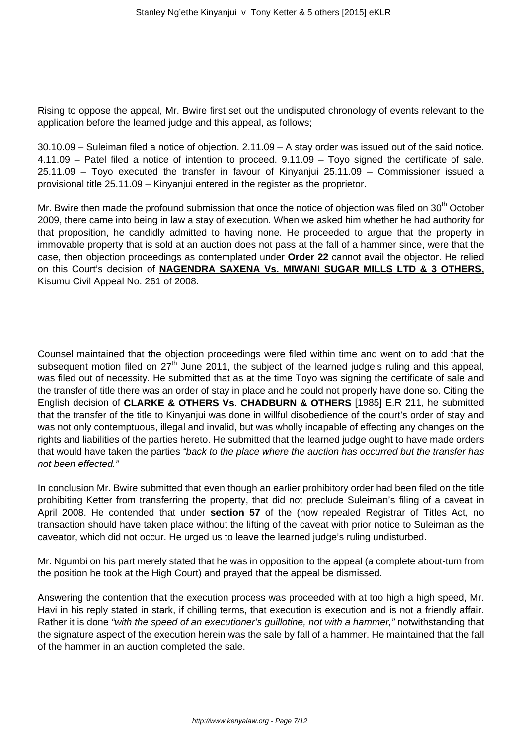Rising to oppose the appeal, Mr. Bwire first set out the undisputed chronology of events relevant to the application before the learned judge and this appeal, as follows;

30.10.09 – Suleiman filed a notice of objection. 2.11.09 – A stay order was issued out of the said notice. 4.11.09 – Patel filed a notice of intention to proceed. 9.11.09 – Toyo signed the certificate of sale. 25.11.09 – Toyo executed the transfer in favour of Kinyanjui 25.11.09 – Commissioner issued a provisional title 25.11.09 – Kinyanjui entered in the register as the proprietor.

Mr. Bwire then made the profound submission that once the notice of objection was filed on  $30<sup>th</sup>$  October 2009, there came into being in law a stay of execution. When we asked him whether he had authority for that proposition, he candidly admitted to having none. He proceeded to argue that the property in immovable property that is sold at an auction does not pass at the fall of a hammer since, were that the case, then objection proceedings as contemplated under **Order 22** cannot avail the objector. He relied on this Court's decision of **NAGENDRA SAXENA Vs. MIWANI SUGAR MILLS LTD & 3 OTHERS,** Kisumu Civil Appeal No. 261 of 2008.

Counsel maintained that the objection proceedings were filed within time and went on to add that the subsequent motion filed on 27<sup>th</sup> June 2011, the subject of the learned judge's ruling and this appeal, was filed out of necessity. He submitted that as at the time Toyo was signing the certificate of sale and the transfer of title there was an order of stay in place and he could not properly have done so. Citing the English decision of **CLARKE & OTHERS Vs. CHADBURN & OTHERS** [1985] E.R 211, he submitted that the transfer of the title to Kinyanjui was done in willful disobedience of the court's order of stay and was not only contemptuous, illegal and invalid, but was wholly incapable of effecting any changes on the rights and liabilities of the parties hereto. He submitted that the learned judge ought to have made orders that would have taken the parties "back to the place where the auction has occurred but the transfer has not been effected."

In conclusion Mr. Bwire submitted that even though an earlier prohibitory order had been filed on the title prohibiting Ketter from transferring the property, that did not preclude Suleiman's filing of a caveat in April 2008. He contended that under **section 57** of the (now repealed Registrar of Titles Act, no transaction should have taken place without the lifting of the caveat with prior notice to Suleiman as the caveator, which did not occur. He urged us to leave the learned judge's ruling undisturbed.

Mr. Ngumbi on his part merely stated that he was in opposition to the appeal (a complete about-turn from the position he took at the High Court) and prayed that the appeal be dismissed.

Answering the contention that the execution process was proceeded with at too high a high speed, Mr. Havi in his reply stated in stark, if chilling terms, that execution is execution and is not a friendly affair. Rather it is done "with the speed of an executioner's guillotine, not with a hammer," notwithstanding that the signature aspect of the execution herein was the sale by fall of a hammer. He maintained that the fall of the hammer in an auction completed the sale.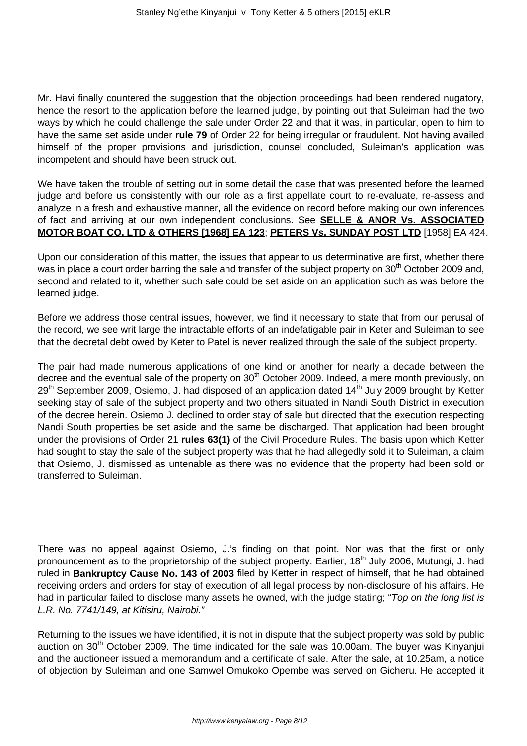Mr. Havi finally countered the suggestion that the objection proceedings had been rendered nugatory, hence the resort to the application before the learned judge, by pointing out that Suleiman had the two ways by which he could challenge the sale under Order 22 and that it was, in particular, open to him to have the same set aside under **rule 79** of Order 22 for being irregular or fraudulent. Not having availed himself of the proper provisions and jurisdiction, counsel concluded, Suleiman's application was incompetent and should have been struck out.

We have taken the trouble of setting out in some detail the case that was presented before the learned judge and before us consistently with our role as a first appellate court to re-evaluate, re-assess and analyze in a fresh and exhaustive manner, all the evidence on record before making our own inferences of fact and arriving at our own independent conclusions. See **SELLE & ANOR Vs. ASSOCIATED MOTOR BOAT CO. LTD & OTHERS [1968] EA 123**; **PETERS Vs. SUNDAY POST LTD** [1958] EA 424.

Upon our consideration of this matter, the issues that appear to us determinative are first, whether there was in place a court order barring the sale and transfer of the subject property on 30<sup>th</sup> October 2009 and, second and related to it, whether such sale could be set aside on an application such as was before the learned judge.

Before we address those central issues, however, we find it necessary to state that from our perusal of the record, we see writ large the intractable efforts of an indefatigable pair in Keter and Suleiman to see that the decretal debt owed by Keter to Patel is never realized through the sale of the subject property.

The pair had made numerous applications of one kind or another for nearly a decade between the decree and the eventual sale of the property on 30<sup>th</sup> October 2009. Indeed, a mere month previously, on 29<sup>th</sup> September 2009, Osiemo, J. had disposed of an application dated 14<sup>th</sup> July 2009 brought by Ketter seeking stay of sale of the subject property and two others situated in Nandi South District in execution of the decree herein. Osiemo J. declined to order stay of sale but directed that the execution respecting Nandi South properties be set aside and the same be discharged. That application had been brought under the provisions of Order 21 **rules 63(1)** of the Civil Procedure Rules. The basis upon which Ketter had sought to stay the sale of the subject property was that he had allegedly sold it to Suleiman, a claim that Osiemo, J. dismissed as untenable as there was no evidence that the property had been sold or transferred to Suleiman.

There was no appeal against Osiemo, J.'s finding on that point. Nor was that the first or only pronouncement as to the proprietorship of the subject property. Earlier, 18<sup>th</sup> July 2006, Mutungi, J. had ruled in **Bankruptcy Cause No. 143 of 2003** filed by Ketter in respect of himself, that he had obtained receiving orders and orders for stay of execution of all legal process by non-disclosure of his affairs. He had in particular failed to disclose many assets he owned, with the judge stating; "Top on the long list is L.R. No. 7741/149, at Kitisiru, Nairobi."

Returning to the issues we have identified, it is not in dispute that the subject property was sold by public auction on  $30<sup>th</sup>$  October 2009. The time indicated for the sale was 10.00am. The buyer was Kinyanjui and the auctioneer issued a memorandum and a certificate of sale. After the sale, at 10.25am, a notice of objection by Suleiman and one Samwel Omukoko Opembe was served on Gicheru. He accepted it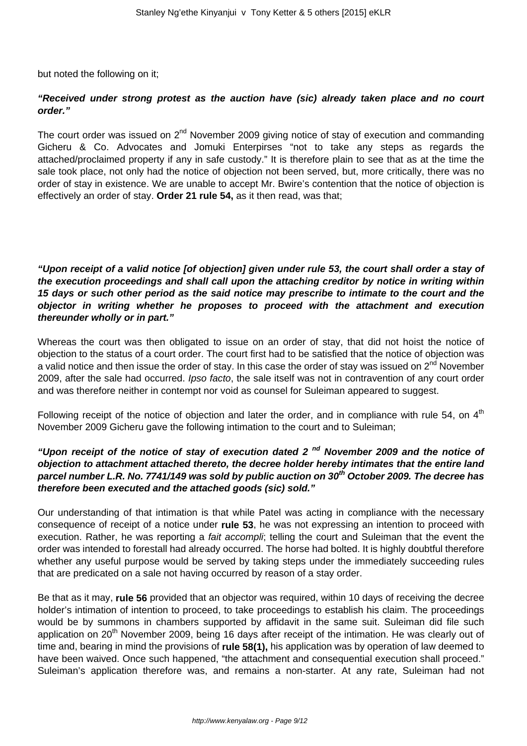but noted the following on it;

# **"Received under strong protest as the auction have (sic) already taken place and no court order."**

The court order was issued on  $2^{nd}$  November 2009 giving notice of stay of execution and commanding Gicheru & Co. Advocates and Jomuki Enterpirses "not to take any steps as regards the attached/proclaimed property if any in safe custody." It is therefore plain to see that as at the time the sale took place, not only had the notice of objection not been served, but, more critically, there was no order of stay in existence. We are unable to accept Mr. Bwire's contention that the notice of objection is effectively an order of stay. **Order 21 rule 54,** as it then read, was that;

**"Upon receipt of a valid notice [of objection] given under rule 53, the court shall order a stay of the execution proceedings and shall call upon the attaching creditor by notice in writing within 15 days or such other period as the said notice may prescribe to intimate to the court and the objector in writing whether he proposes to proceed with the attachment and execution thereunder wholly or in part."**

Whereas the court was then obligated to issue on an order of stay, that did not hoist the notice of objection to the status of a court order. The court first had to be satisfied that the notice of objection was a valid notice and then issue the order of stay. In this case the order of stay was issued on  $2^{nd}$  November 2009, after the sale had occurred. Ipso facto, the sale itself was not in contravention of any court order and was therefore neither in contempt nor void as counsel for Suleiman appeared to suggest.

Following receipt of the notice of objection and later the order, and in compliance with rule 54, on  $4<sup>th</sup>$ November 2009 Gicheru gave the following intimation to the court and to Suleiman;

# **"Upon receipt of the notice of stay of execution dated 2 nd November 2009 and the notice of objection to attachment attached thereto, the decree holder hereby intimates that the entire land parcel number L.R. No. 7741/149 was sold by public auction on 30th October 2009. The decree has therefore been executed and the attached goods (sic) sold."**

Our understanding of that intimation is that while Patel was acting in compliance with the necessary consequence of receipt of a notice under **rule 53**, he was not expressing an intention to proceed with execution. Rather, he was reporting a *fait accompli*; telling the court and Suleiman that the event the order was intended to forestall had already occurred. The horse had bolted. It is highly doubtful therefore whether any useful purpose would be served by taking steps under the immediately succeeding rules that are predicated on a sale not having occurred by reason of a stay order.

Be that as it may, **rule 56** provided that an objector was required, within 10 days of receiving the decree holder's intimation of intention to proceed, to take proceedings to establish his claim. The proceedings would be by summons in chambers supported by affidavit in the same suit. Suleiman did file such application on 20<sup>th</sup> November 2009, being 16 days after receipt of the intimation. He was clearly out of time and, bearing in mind the provisions of **rule 58(1),** his application was by operation of law deemed to have been waived. Once such happened, "the attachment and consequential execution shall proceed." Suleiman's application therefore was, and remains a non-starter. At any rate, Suleiman had not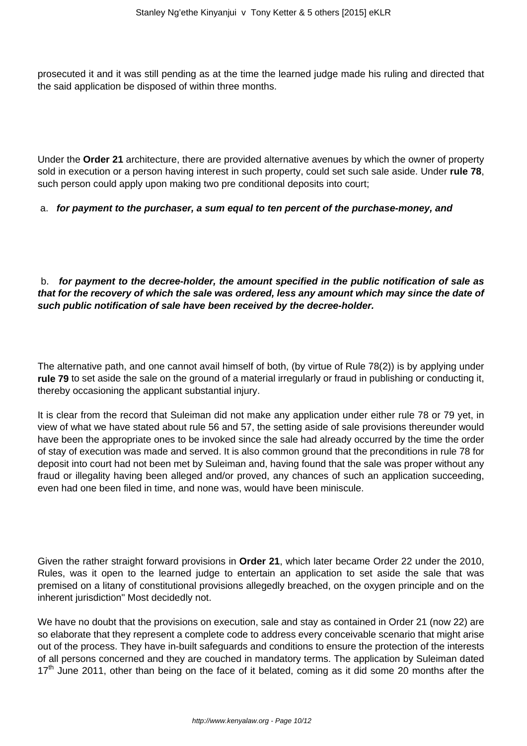prosecuted it and it was still pending as at the time the learned judge made his ruling and directed that the said application be disposed of within three months.

Under the **Order 21** architecture, there are provided alternative avenues by which the owner of property sold in execution or a person having interest in such property, could set such sale aside. Under **rule 78**, such person could apply upon making two pre conditional deposits into court;

### a. **for payment to the purchaser, a sum equal to ten percent of the purchase-money, and**

## b. **for payment to the decree-holder, the amount specified in the public notification of sale as that for the recovery of which the sale was ordered, less any amount which may since the date of such public notification of sale have been received by the decree-holder.**

The alternative path, and one cannot avail himself of both, (by virtue of Rule 78(2)) is by applying under **rule 79** to set aside the sale on the ground of a material irregularly or fraud in publishing or conducting it, thereby occasioning the applicant substantial injury.

It is clear from the record that Suleiman did not make any application under either rule 78 or 79 yet, in view of what we have stated about rule 56 and 57, the setting aside of sale provisions thereunder would have been the appropriate ones to be invoked since the sale had already occurred by the time the order of stay of execution was made and served. It is also common ground that the preconditions in rule 78 for deposit into court had not been met by Suleiman and, having found that the sale was proper without any fraud or illegality having been alleged and/or proved, any chances of such an application succeeding, even had one been filed in time, and none was, would have been miniscule.

Given the rather straight forward provisions in **Order 21**, which later became Order 22 under the 2010, Rules, was it open to the learned judge to entertain an application to set aside the sale that was premised on a litany of constitutional provisions allegedly breached, on the oxygen principle and on the inherent jurisdiction" Most decidedly not.

We have no doubt that the provisions on execution, sale and stay as contained in Order 21 (now 22) are so elaborate that they represent a complete code to address every conceivable scenario that might arise out of the process. They have in-built safeguards and conditions to ensure the protection of the interests of all persons concerned and they are couched in mandatory terms. The application by Suleiman dated  $17<sup>th</sup>$  June 2011, other than being on the face of it belated, coming as it did some 20 months after the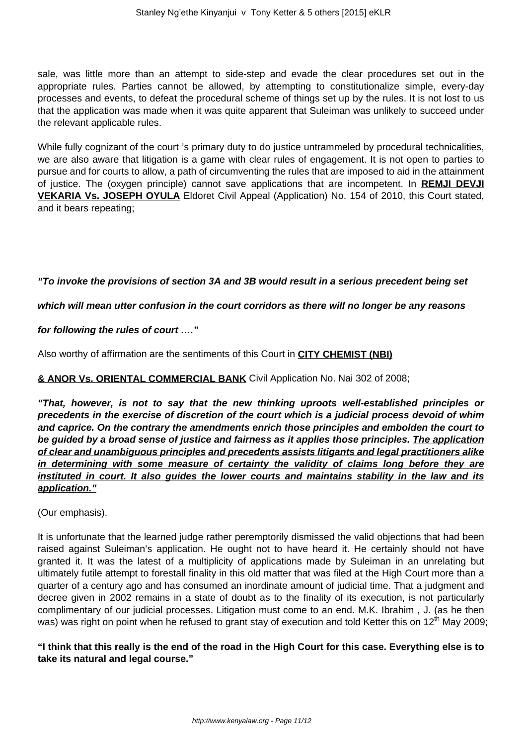sale, was little more than an attempt to side-step and evade the clear procedures set out in the appropriate rules. Parties cannot be allowed, by attempting to constitutionalize simple, every-day processes and events, to defeat the procedural scheme of things set up by the rules. It is not lost to us that the application was made when it was quite apparent that Suleiman was unlikely to succeed under the relevant applicable rules.

While fully cognizant of the court 's primary duty to do justice untrammeled by procedural technicalities, we are also aware that litigation is a game with clear rules of engagement. It is not open to parties to pursue and for courts to allow, a path of circumventing the rules that are imposed to aid in the attainment of justice. The (oxygen principle) cannot save applications that are incompetent. In **REMJI DEVJI VEKARIA Vs. JOSEPH OYULA** Eldoret Civil Appeal (Application) No. 154 of 2010, this Court stated, and it bears repeating;

### **"To invoke the provisions of section 3A and 3B would result in a serious precedent being set**

### **which will mean utter confusion in the court corridors as there will no longer be any reasons**

### **for following the rules of court …."**

Also worthy of affirmation are the sentiments of this Court in **CITY CHEMIST (NBI)**

### **& ANOR Vs. ORIENTAL COMMERCIAL BANK** Civil Application No. Nai 302 of 2008;

**"That, however, is not to say that the new thinking uproots well-established principles or precedents in the exercise of discretion of the court which is a judicial process devoid of whim and caprice. On the contrary the amendments enrich those principles and embolden the court to be guided by a broad sense of justice and fairness as it applies those principles. The application of clear and unambiguous principles and precedents assists litigants and legal practitioners alike in determining with some measure of certainty the validity of claims long before they are instituted in court. It also guides the lower courts and maintains stability in the law and its application."**

(Our emphasis).

It is unfortunate that the learned judge rather peremptorily dismissed the valid objections that had been raised against Suleiman's application. He ought not to have heard it. He certainly should not have granted it. It was the latest of a multiplicity of applications made by Suleiman in an unrelating but ultimately futile attempt to forestall finality in this old matter that was filed at the High Court more than a quarter of a century ago and has consumed an inordinate amount of judicial time. That a judgment and decree given in 2002 remains in a state of doubt as to the finality of its execution, is not particularly complimentary of our judicial processes. Litigation must come to an end. M.K. Ibrahim , J. (as he then was) was right on point when he refused to grant stay of execution and told Ketter this on 12<sup>th</sup> May 2009;

**"I think that this really is the end of the road in the High Court for this case. Everything else is to take its natural and legal course."**